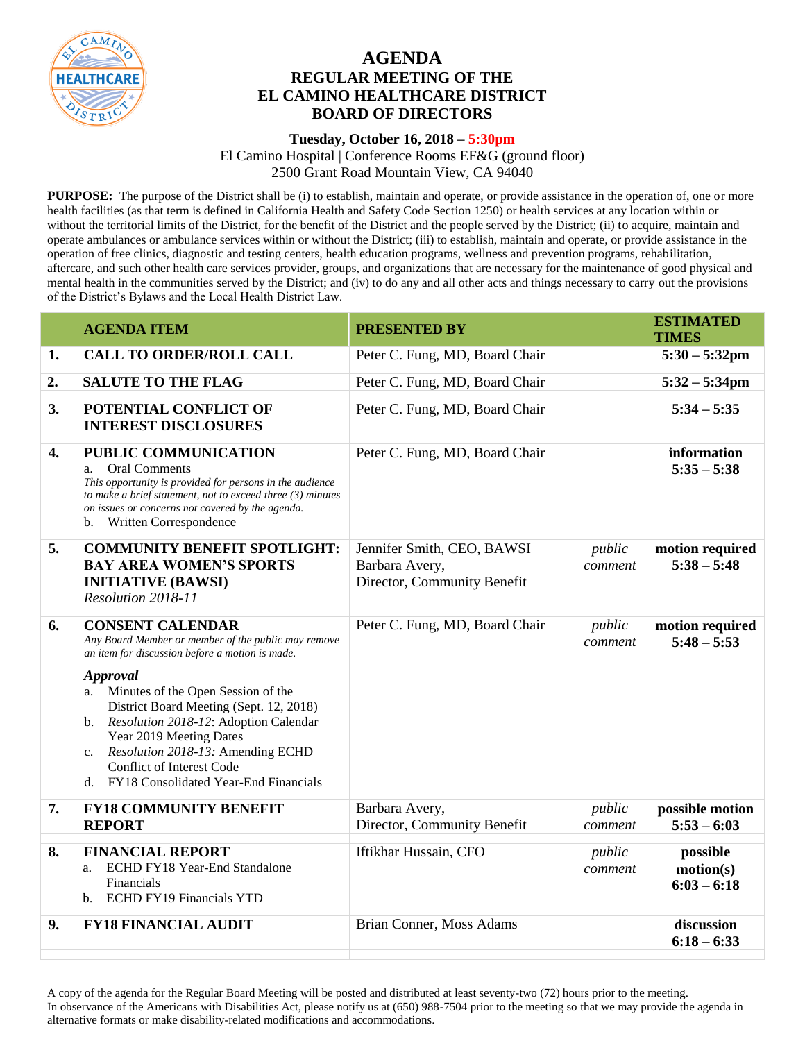

## **AGENDA REGULAR MEETING OF THE EL CAMINO HEALTHCARE DISTRICT BOARD OF DIRECTORS**

## **Tuesday, October 16, 2018 – 5:30pm**

El Camino Hospital | Conference Rooms EF&G (ground floor) 2500 Grant Road Mountain View, CA 94040

**PURPOSE:** The purpose of the District shall be (i) to establish, maintain and operate, or provide assistance in the operation of, one or more health facilities (as that term is defined in California Health and Safety Code Section 1250) or health services at any location within or without the territorial limits of the District, for the benefit of the District and the people served by the District; (ii) to acquire, maintain and operate ambulances or ambulance services within or without the District; (iii) to establish, maintain and operate, or provide assistance in the operation of free clinics, diagnostic and testing centers, health education programs, wellness and prevention programs, rehabilitation, aftercare, and such other health care services provider, groups, and organizations that are necessary for the maintenance of good physical and mental health in the communities served by the District; and (iv) to do any and all other acts and things necessary to carry out the provisions of the District's Bylaws and the Local Health District Law.

|    | <b>AGENDA ITEM</b>                                                                                                                                                                                                                                                                                                                                                                                                                                 | <b>PRESENTED BY</b>                                                         |                   | <b>ESTIMATED</b><br><b>TIMES</b>       |
|----|----------------------------------------------------------------------------------------------------------------------------------------------------------------------------------------------------------------------------------------------------------------------------------------------------------------------------------------------------------------------------------------------------------------------------------------------------|-----------------------------------------------------------------------------|-------------------|----------------------------------------|
| 1. | <b>CALL TO ORDER/ROLL CALL</b>                                                                                                                                                                                                                                                                                                                                                                                                                     | Peter C. Fung, MD, Board Chair                                              |                   | $5:30 - 5:32$ pm                       |
| 2. | <b>SALUTE TO THE FLAG</b>                                                                                                                                                                                                                                                                                                                                                                                                                          | Peter C. Fung, MD, Board Chair                                              |                   | $5:32 - 5:34$ pm                       |
| 3. | POTENTIAL CONFLICT OF<br><b>INTEREST DISCLOSURES</b>                                                                                                                                                                                                                                                                                                                                                                                               | Peter C. Fung, MD, Board Chair                                              |                   | $5:34 - 5:35$                          |
| 4. | PUBLIC COMMUNICATION<br><b>Oral Comments</b><br>a.<br>This opportunity is provided for persons in the audience<br>to make a brief statement, not to exceed three $(3)$ minutes<br>on issues or concerns not covered by the agenda.<br>Written Correspondence<br>b.                                                                                                                                                                                 | Peter C. Fung, MD, Board Chair                                              |                   | information<br>$5:35 - 5:38$           |
| 5. | <b>COMMUNITY BENEFIT SPOTLIGHT:</b><br><b>BAY AREA WOMEN'S SPORTS</b><br><b>INITIATIVE (BAWSI)</b><br>Resolution 2018-11                                                                                                                                                                                                                                                                                                                           | Jennifer Smith, CEO, BAWSI<br>Barbara Avery,<br>Director, Community Benefit | public<br>comment | motion required<br>$5:38 - 5:48$       |
| 6. | <b>CONSENT CALENDAR</b><br>Any Board Member or member of the public may remove<br>an item for discussion before a motion is made.<br><b>Approval</b><br>Minutes of the Open Session of the<br>a.<br>District Board Meeting (Sept. 12, 2018)<br>b. Resolution 2018-12: Adoption Calendar<br>Year 2019 Meeting Dates<br>Resolution 2018-13: Amending ECHD<br>$c_{\cdot}$<br>Conflict of Interest Code<br>FY18 Consolidated Year-End Financials<br>d. | Peter C. Fung, MD, Board Chair                                              | public<br>comment | motion required<br>$5:48 - 5:53$       |
| 7. | <b>FY18 COMMUNITY BENEFIT</b><br><b>REPORT</b>                                                                                                                                                                                                                                                                                                                                                                                                     | Barbara Avery,<br>Director, Community Benefit                               | public<br>comment | possible motion<br>$5:53 - 6:03$       |
| 8. | <b>FINANCIAL REPORT</b><br>ECHD FY18 Year-End Standalone<br>a.<br>Financials<br><b>ECHD FY19 Financials YTD</b><br>$\mathbf{b}$ .                                                                                                                                                                                                                                                                                                                  | Iftikhar Hussain, CFO                                                       | public<br>comment | possible<br>motion(s)<br>$6:03 - 6:18$ |
| 9. | <b>FY18 FINANCIAL AUDIT</b>                                                                                                                                                                                                                                                                                                                                                                                                                        | Brian Conner, Moss Adams                                                    |                   | discussion<br>$6:18 - 6:33$            |

A copy of the agenda for the Regular Board Meeting will be posted and distributed at least seventy-two (72) hours prior to the meeting. In observance of the Americans with Disabilities Act, please notify us at (650) 988-7504 prior to the meeting so that we may provide the agenda in alternative formats or make disability-related modifications and accommodations.